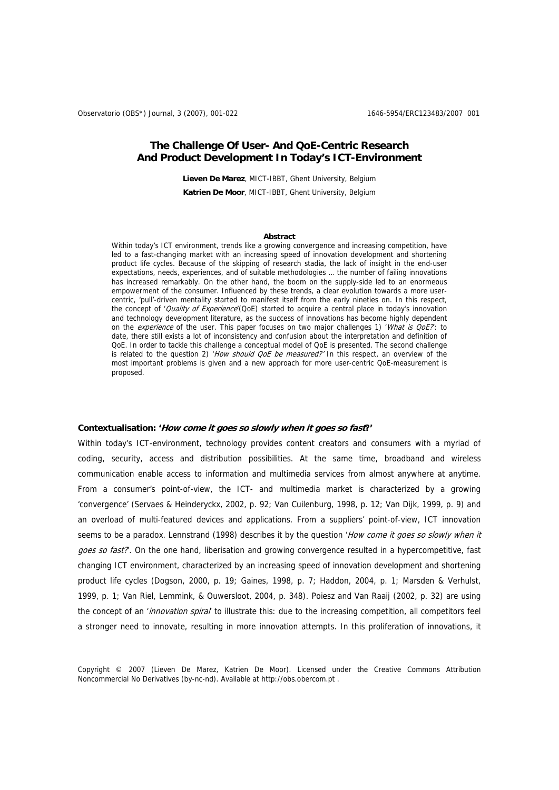# **The Challenge Of User- And QoE-Centric Research And Product Development In Today's ICT-Environment**

**Lieven De Marez**, MICT-IBBT, Ghent University, Belgium **Katrien De Moor**, MICT-IBBT, Ghent University, Belgium

#### **Abstract**

Within today's ICT environment, trends like a growing convergence and increasing competition, have led to a fast-changing market with an increasing speed of innovation development and shortening product life cycles. Because of the skipping of research stadia, the lack of insight in the end-user expectations, needs, experiences, and of suitable methodologies … the number of failing innovations has increased remarkably. On the other hand, the boom on the supply-side led to an enormeous empowerment of the consumer. Influenced by these trends, a clear evolution towards a more usercentric, 'pull'-driven mentality started to manifest itself from the early nineties on. In this respect, the concept of 'Quality of Experience'(QoE) started to acquire a central place in today's innovation and technology development literature, as the success of innovations has become highly dependent on the *experience* of the user. This paper focuses on two major challenges 1) 'What is QoE?: to date, there still exists a lot of inconsistency and confusion about the interpretation and definition of QoE. In order to tackle this challenge a conceptual model of QoE is presented. The second challenge is related to the question 2) 'How should OoE be measured?' In this respect, an overview of the most important problems is given and a new approach for more user-centric QoE-measurement is proposed.

### **Contextualisation: 'How come it goes so slowly when it goes so fast?'**

Within today's ICT-environment, technology provides content creators and consumers with a myriad of coding, security, access and distribution possibilities. At the same time, broadband and wireless communication enable access to information and multimedia services from almost anywhere at anytime. From a consumer's point-of-view, the ICT- and multimedia market is characterized by a growing 'convergence' (Servaes & Heinderyckx, 2002, p. 92; Van Cuilenburg, 1998, p. 12; Van Dijk, 1999, p. 9) and an overload of multi-featured devices and applications. From a suppliers' point-of-view, ICT innovation seems to be a paradox. Lennstrand (1998) describes it by the question 'How come it goes so slowly when it goes so fast?. On the one hand, liberisation and growing convergence resulted in a hypercompetitive, fast changing ICT environment, characterized by an increasing speed of innovation development and shortening product life cycles (Dogson, 2000, p. 19; Gaines, 1998, p. 7; Haddon, 2004, p. 1; Marsden & Verhulst, 1999, p. 1; Van Riel, Lemmink, & Ouwersloot, 2004, p. 348). Poiesz and Van Raaij (2002, p. 32) are using the concept of an 'innovation spiral' to illustrate this: due to the increasing competition, all competitors feel a stronger need to innovate, resulting in more innovation attempts. In this proliferation of innovations, it

Copyright © 2007 (Lieven De Marez, Katrien De Moor). Licensed under the Creative Commons Attribution Noncommercial No Derivatives (by-nc-nd). Available at http://obs.obercom.pt .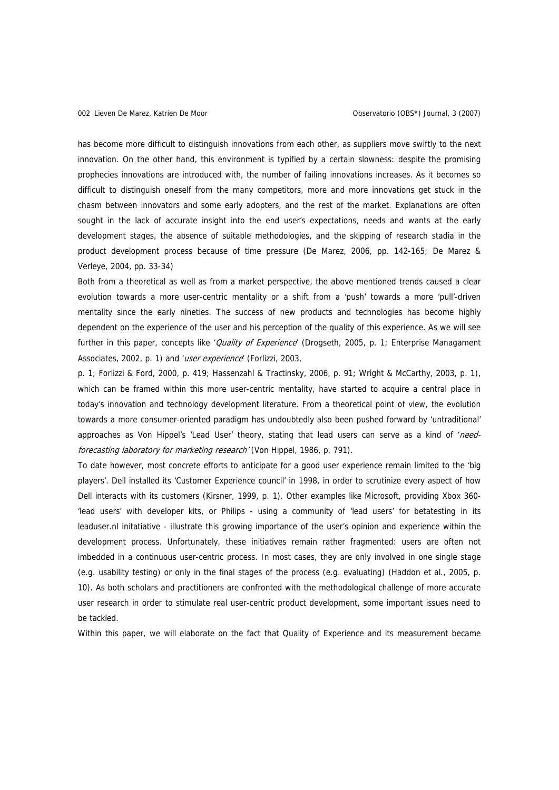has become more difficult to distinguish innovations from each other, as suppliers move swiftly to the next innovation. On the other hand, this environment is typified by a certain slowness: despite the promising prophecies innovations are introduced with, the number of failing innovations increases. As it becomes so difficult to distinguish oneself from the many competitors, more and more innovations get stuck in the chasm between innovators and some early adopters, and the rest of the market. Explanations are often sought in the lack of accurate insight into the end user's expectations, needs and wants at the early development stages, the absence of suitable methodologies, and the skipping of research stadia in the product development process because of time pressure (De Marez, 2006, pp. 142-165; De Marez & Verleye, 2004, pp. 33-34)

Both from a theoretical as well as from a market perspective, the above mentioned trends caused a clear evolution towards a more user-centric mentality or a shift from a 'push' towards a more 'pull'-driven mentality since the early nineties. The success of new products and technologies has become highly dependent on the experience of the user and his perception of the quality of this experience. As we will see further in this paper, concepts like 'Quality of Experience' (Drogseth, 2005, p. 1; Enterprise Managament Associates, 2002, p. 1) and 'user experience' (Forlizzi, 2003,

p. 1; Forlizzi & Ford, 2000, p. 419; Hassenzahl & Tractinsky, 2006, p. 91; Wright & McCarthy, 2003, p. 1), which can be framed within this more user-centric mentality, have started to acquire a central place in today's innovation and technology development literature. From a theoretical point of view, the evolution towards a more consumer-oriented paradigm has undoubtedly also been pushed forward by 'untraditional' approaches as Von Hippel's 'Lead User' theory, stating that lead users can serve as a kind of 'needforecasting laboratory for marketing research' (Von Hippel, 1986, p. 791).

To date however, most concrete efforts to anticipate for a good user experience remain limited to the 'big players'. Dell installed its 'Customer Experience council' in 1998, in order to scrutinize every aspect of how Dell interacts with its customers (Kirsner, 1999, p. 1). Other examples like Microsoft, providing Xbox 360- 'lead users' with developer kits, or Philips - using a community of 'lead users' for betatesting in its leaduser.nl initatiative - illustrate this growing importance of the user's opinion and experience within the development process. Unfortunately, these initiatives remain rather fragmented: users are often not imbedded in a continuous user-centric process. In most cases, they are only involved in one single stage (e.g. usability testing) or only in the final stages of the process (e.g. evaluating) (Haddon et al., 2005, p. 10). As both scholars and practitioners are confronted with the methodological challenge of more accurate user research in order to stimulate real user-centric product development, some important issues need to be tackled.

Within this paper, we will elaborate on the fact that Quality of Experience and its measurement became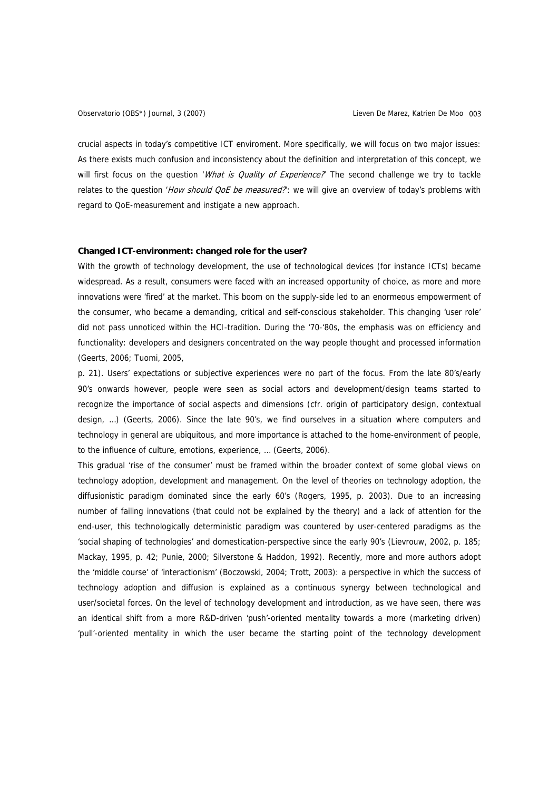crucial aspects in today's competitive ICT enviroment. More specifically, we will focus on two major issues: As there exists much confusion and inconsistency about the definition and interpretation of this concept, we will first focus on the question 'What is Quality of Experience? The second challenge we try to tackle relates to the question 'How should QoE be measured?: we will give an overview of today's problems with regard to QoE-measurement and instigate a new approach.

# **Changed ICT-environment: changed role for the user?**

With the growth of technology development, the use of technological devices (for instance ICTs) became widespread. As a result, consumers were faced with an increased opportunity of choice, as more and more innovations were 'fired' at the market. This boom on the supply-side led to an enormeous empowerment of the consumer, who became a demanding, critical and self-conscious stakeholder. This changing 'user role' did not pass unnoticed within the HCI-tradition. During the '70-'80s, the emphasis was on efficiency and functionality: developers and designers concentrated on the way people thought and processed information (Geerts, 2006; Tuomi, 2005,

p. 21). Users' expectations or subjective experiences were no part of the focus. From the late 80's/early 90's onwards however, people were seen as social actors and development/design teams started to recognize the importance of social aspects and dimensions (cfr. origin of participatory design, contextual design, …) (Geerts, 2006). Since the late 90's, we find ourselves in a situation where computers and technology in general are ubiquitous, and more importance is attached to the home-environment of people, to the influence of culture, emotions, experience, … (Geerts, 2006).

This gradual 'rise of the consumer' must be framed within the broader context of some global views on technology adoption, development and management. On the level of theories on technology adoption, the diffusionistic paradigm dominated since the early 60's (Rogers, 1995, p. 2003). Due to an increasing number of failing innovations (that could not be explained by the theory) and a lack of attention for the end-user, this technologically deterministic paradigm was countered by user-centered paradigms as the 'social shaping of technologies' and domestication-perspective since the early 90's (Lievrouw, 2002, p. 185; Mackay, 1995, p. 42; Punie, 2000; Silverstone & Haddon, 1992). Recently, more and more authors adopt the 'middle course' of 'interactionism' (Boczowski, 2004; Trott, 2003): a perspective in which the success of technology adoption and diffusion is explained as a continuous synergy between technological and user/societal forces. On the level of technology development and introduction, as we have seen, there was an identical shift from a more R&D-driven 'push'-oriented mentality towards a more (marketing driven) 'pull'-oriented mentality in which the user became the starting point of the technology development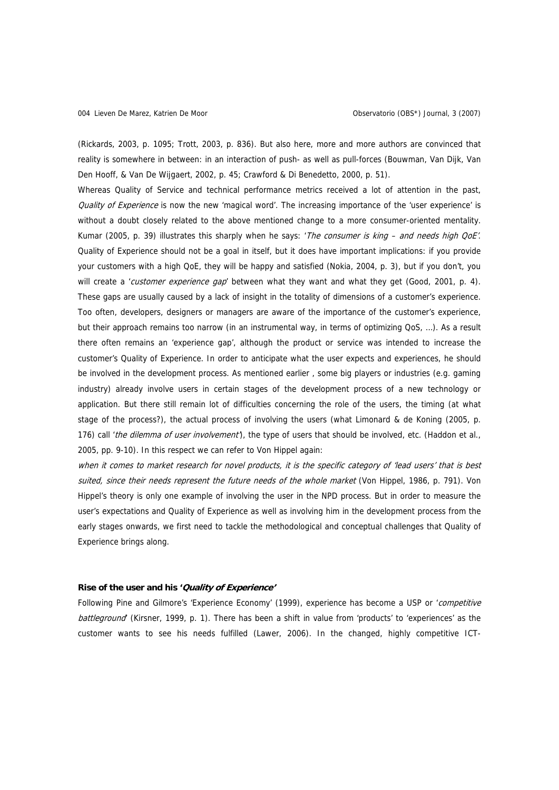(Rickards, 2003, p. 1095; Trott, 2003, p. 836). But also here, more and more authors are convinced that reality is somewhere in between: in an interaction of push- as well as pull-forces (Bouwman, Van Dijk, Van Den Hooff, & Van De Wijgaert, 2002, p. 45; Crawford & Di Benedetto, 2000, p. 51).

Whereas Quality of Service and technical performance metrics received a lot of attention in the past, Quality of Experience is now the new 'magical word'. The increasing importance of the 'user experience' is without a doubt closely related to the above mentioned change to a more consumer-oriented mentality. Kumar (2005, p. 39) illustrates this sharply when he says: 'The consumer is king – and needs high QoE'. Quality of Experience should not be a goal in itself, but it does have important implications: if you provide your customers with a high QoE, they will be happy and satisfied (Nokia, 2004, p. 3), but if you don't, you will create a 'customer experience gap' between what they want and what they get (Good, 2001, p. 4). These gaps are usually caused by a lack of insight in the totality of dimensions of a customer's experience. Too often, developers, designers or managers are aware of the importance of the customer's experience, but their approach remains too narrow (in an instrumental way, in terms of optimizing QoS, …). As a result there often remains an 'experience gap', although the product or service was intended to increase the customer's Quality of Experience. In order to anticipate what the user expects and experiences, he should be involved in the development process. As mentioned earlier , some big players or industries (e.g. gaming industry) already involve users in certain stages of the development process of a new technology or application. But there still remain lot of difficulties concerning the role of the users, the timing (at what stage of the process?), the actual process of involving the users (what Limonard & de Koning (2005, p. 176) call 'the dilemma of user involvement'), the type of users that should be involved, etc. (Haddon et al., 2005, pp. 9-10). In this respect we can refer to Von Hippel again:

when it comes to market research for novel products, it is the specific category of 'lead users' that is best suited, since their needs represent the future needs of the whole market (Von Hippel, 1986, p. 791). Von Hippel's theory is only one example of involving the user in the NPD process. But in order to measure the user's expectations and Quality of Experience as well as involving him in the development process from the early stages onwards, we first need to tackle the methodological and conceptual challenges that Quality of Experience brings along.

#### **Rise of the user and his 'Quality of Experience'**

Following Pine and Gilmore's 'Experience Economy' (1999), experience has become a USP or 'competitive battleground' (Kirsner, 1999, p. 1). There has been a shift in value from 'products' to 'experiences' as the customer wants to see his needs fulfilled (Lawer, 2006). In the changed, highly competitive ICT-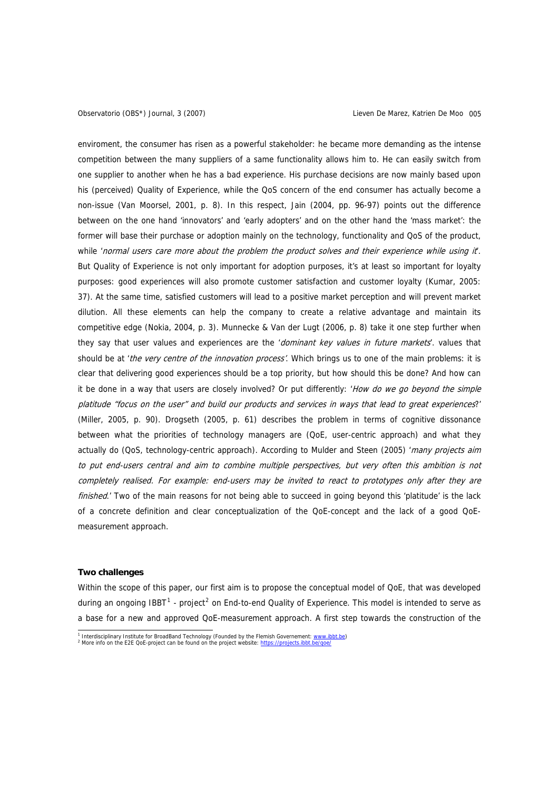<span id="page-4-0"></span>enviroment, the consumer has risen as a powerful stakeholder: he became more demanding as the intense competition between the many suppliers of a same functionality allows him to. He can easily switch from one supplier to another when he has a bad experience. His purchase decisions are now mainly based upon his (perceived) Quality of Experience, while the QoS concern of the end consumer has actually become a non-issue (Van Moorsel, 2001, p. 8). In this respect, Jain (2004, pp. 96-97) points out the difference between on the one hand 'innovators' and 'early adopters' and on the other hand the 'mass market': the former will base their purchase or adoption mainly on the technology, functionality and QoS of the product, while 'normal users care more about the problem the product solves and their experience while using it. But Quality of Experience is not only important for adoption purposes, it's at least so important for loyalty purposes: good experiences will also promote customer satisfaction and customer loyalty (Kumar, 2005: 37). At the same time, satisfied customers will lead to a positive market perception and will prevent market dilution. All these elements can help the company to create a relative advantage and maintain its competitive edge (Nokia, 2004, p. 3). Munnecke & Van der Lugt (2006, p. 8) take it one step further when they say that user values and experiences are the 'dominant key values in future markets'. values that should be at 'the very centre of the innovation process'. Which brings us to one of the main problems: it is clear that delivering good experiences should be a top priority, but how should this be done? And how can it be done in a way that users are closely involved? Or put differently: 'How do we go beyond the simple platitude "focus on the user" and build our products and services in ways that lead to great experiences?' (Miller, 2005, p. 90). Drogseth (2005, p. 61) describes the problem in terms of cognitive dissonance between what the priorities of technology managers are (QoE, user-centric approach) and what they actually do (QoS, technology-centric approach). According to Mulder and Steen (2005) 'many projects aim to put end-users central and aim to combine multiple perspectives, but very often this ambition is not completely realised. For example: end-users may be invited to react to prototypes only after they are finished.' Two of the main reasons for not being able to succeed in going beyond this 'platitude' is the lack of a concrete definition and clear conceptualization of the QoE-concept and the lack of a good QoEmeasurement approach.

#### **Two challenges**

Within the scope of this paper, our first aim is to propose the conceptual model of QoE, that was developed during an ongoing IBBT<sup>[1](#page-4-0)</sup> - project<sup>[2](#page-4-0)</sup> on End-to-end Quality of Experience. This model is intended to serve as a base for a new and approved QoE-measurement approach. A first step towards the construction of the

<sup>&</sup>lt;sup>1</sup> Interdisciplinary Institute for BroadBand Technology (Founded by the Flemish Governement: www.i<u>bbt.be)</u><br><sup>2</sup> Marc info on the F3E OoE project can be found on the project website: https://projects.jpht.be/goo/

More info on the E2E QoE-project can be found on the project website: https://projects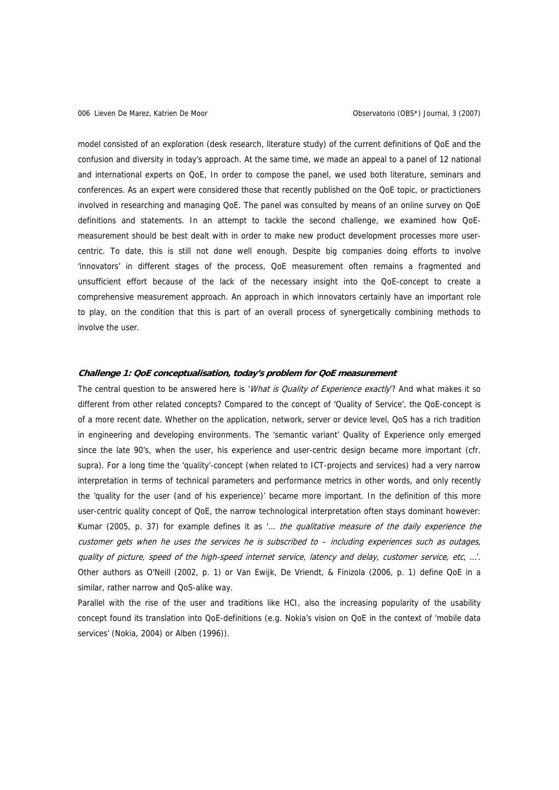model consisted of an exploration (desk research, literature study) of the current definitions of QoE and the confusion and diversity in today's approach. At the same time, we made an appeal to a panel of 12 national and international experts on QoE, In order to compose the panel, we used both literature, seminars and conferences. As an expert were considered those that recently published on the QoE topic, or practictioners involved in researching and managing QoE. The panel was consulted by means of an online survey on QoE definitions and statements. In an attempt to tackle the second challenge, we examined how QoEmeasurement should be best dealt with in order to make new product development processes more usercentric. To date, this is still not done well enough. Despite big companies doing efforts to involve 'innovators' in different stages of the process, QoE measurement often remains a fragmented and unsufficient effort because of the lack of the necessary insight into the QoE-concept to create a comprehensive measurement approach. An approach in which innovators certainly have an important role to play, on the condition that this is part of an overall process of synergetically combining methods to involve the user.

#### **Challenge 1: QoE conceptualisation, today's problem for QoE measurement**

The central question to be answered here is 'What is Quality of Experience exactly? And what makes it so different from other related concepts? Compared to the concept of 'Quality of Service', the QoE-concept is of a more recent date. Whether on the application, network, server or device level, QoS has a rich tradition in engineering and developing environments. The 'semantic variant' Quality of Experience only emerged since the late 90's, when the user, his experience and user-centric design became more important (cfr. supra). For a long time the 'quality'-concept (when related to ICT-projects and services) had a very narrow interpretation in terms of technical parameters and performance metrics in other words, and only recently the 'quality for the user (and of his experience)' became more important. In the definition of this more user-centric quality concept of QoE, the narrow technological interpretation often stays dominant however: Kumar (2005, p. 37) for example defines it as  $\ldots$  the qualitative measure of the daily experience the customer gets when he uses the services he is subscribed to – including experiences such as outages, quality of picture, speed of the high-speed internet service, latency and delay, customer service, etc, …'. Other authors as O'Neill (2002, p. 1) or Van Ewijk, De Vriendt, & Finizola (2006, p. 1) define QoE in a similar, rather narrow and QoS-alike way.

Parallel with the rise of the user and traditions like HCI, also the increasing popularity of the usability concept found its translation into QoE-definitions (e.g. Nokia's vision on QoE in the context of 'mobile data services' (Nokia, 2004) or Alben (1996)).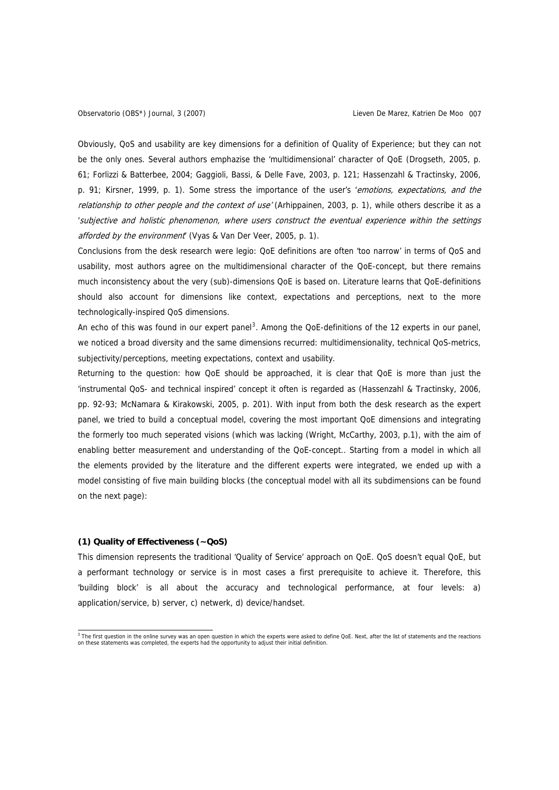<span id="page-6-0"></span>Obviously, QoS and usability are key dimensions for a definition of Quality of Experience; but they can not be the only ones. Several authors emphazise the 'multidimensional' character of QoE (Drogseth, 2005, p. 61; Forlizzi & Batterbee, 2004; Gaggioli, Bassi, & Delle Fave, 2003, p. 121; Hassenzahl & Tractinsky, 2006, p. 91; Kirsner, 1999, p. 1). Some stress the importance of the user's 'emotions, expectations, and the relationship to other people and the context of use' (Arhippainen, 2003, p. 1), while others describe it as a 'subjective and holistic phenomenon, where users construct the eventual experience within the settings afforded by the environment' (Vyas & Van Der Veer, 2005, p. 1).

Conclusions from the desk research were legio: QoE definitions are often 'too narrow' in terms of QoS and usability, most authors agree on the multidimensional character of the QoE-concept, but there remains much inconsistency about the very (sub)-dimensions QoE is based on. Literature learns that QoE-definitions should also account for dimensions like context, expectations and perceptions, next to the more technologically-inspired QoS dimensions.

An echo of this was found in our expert panel<sup>[3](#page-6-0)</sup>. Among the QoE-definitions of the 12 experts in our panel, we noticed a broad diversity and the same dimensions recurred: multidimensionality, technical QoS-metrics, subjectivity/perceptions, meeting expectations, context and usability.

Returning to the question: how QoE should be approached, it is clear that QoE is more than just the 'instrumental QoS- and technical inspired' concept it often is regarded as (Hassenzahl & Tractinsky, 2006, pp. 92-93; McNamara & Kirakowski, 2005, p. 201). With input from both the desk research as the expert panel, we tried to build a conceptual model, covering the most important QoE dimensions and integrating the formerly too much seperated visions (which was lacking (Wright, McCarthy, 2003, p.1), with the aim of enabling better measurement and understanding of the QoE-concept.. Starting from a model in which all the elements provided by the literature and the different experts were integrated, we ended up with a model consisting of five main building blocks (the conceptual model with all its subdimensions can be found on the next page):

# **(1) Quality of Effectiveness (~QoS)**

This dimension represents the traditional 'Quality of Service' approach on QoE. QoS doesn't equal QoE, but a performant technology or service is in most cases a first prerequisite to achieve it. Therefore, this 'building block' is all about the accuracy and technological performance, at four levels: a) application/service, b) server, c) netwerk, d) device/handset.

<sup>&</sup>lt;sup>3</sup> The first question in the online survey was an open question in which the experts were asked to define QoE. Next, after the list of statements and the reactions on these statements was completed, the experts had the opportunity to adjust their initial definition.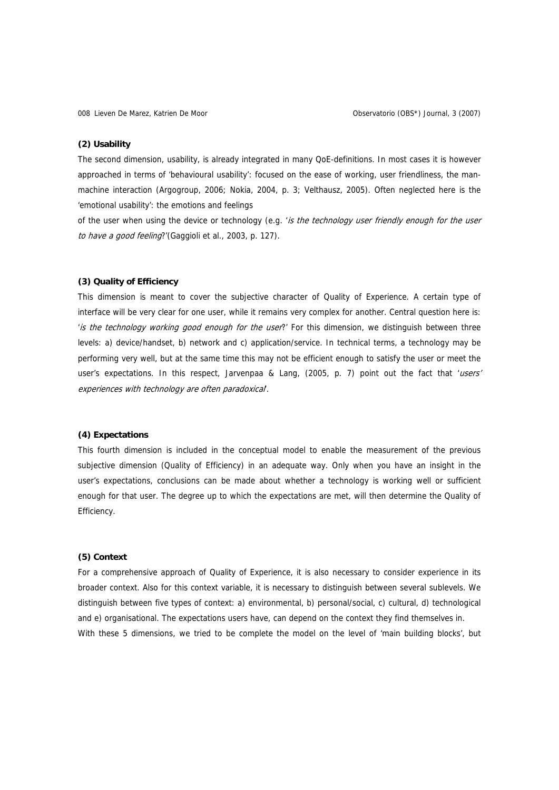#### **(2) Usability**

The second dimension, usability, is already integrated in many QoE-definitions. In most cases it is however approached in terms of 'behavioural usability': focused on the ease of working, user friendliness, the manmachine interaction (Argogroup, 2006; Nokia, 2004, p. 3; Velthausz, 2005). Often neglected here is the 'emotional usability': the emotions and feelings

of the user when using the device or technology (e.g. 'is the technology user friendly enough for the user to have a good feeling?'(Gaggioli et al., 2003, p. 127).

# **(3) Quality of Efficiency**

This dimension is meant to cover the subjective character of Quality of Experience. A certain type of interface will be very clear for one user, while it remains very complex for another. Central question here is: 'is the technology working good enough for the user?' For this dimension, we distinguish between three levels: a) device/handset, b) network and c) application/service. In technical terms, a technology may be performing very well, but at the same time this may not be efficient enough to satisfy the user or meet the user's expectations. In this respect, Jarvenpaa & Lang, (2005, p. 7) point out the fact that 'users' experiences with technology are often paradoxical'.

### **(4) Expectations**

This fourth dimension is included in the conceptual model to enable the measurement of the previous subjective dimension (Quality of Efficiency) in an adequate way. Only when you have an insight in the user's expectations, conclusions can be made about whether a technology is working well or sufficient enough for that user. The degree up to which the expectations are met, will then determine the Quality of Efficiency.

# **(5) Context**

For a comprehensive approach of Quality of Experience, it is also necessary to consider experience in its broader context. Also for this context variable, it is necessary to distinguish between several sublevels. We distinguish between five types of context: a) environmental, b) personal/social, c) cultural, d) technological and e) organisational. The expectations users have, can depend on the context they find themselves in. With these 5 dimensions, we tried to be complete the model on the level of 'main building blocks', but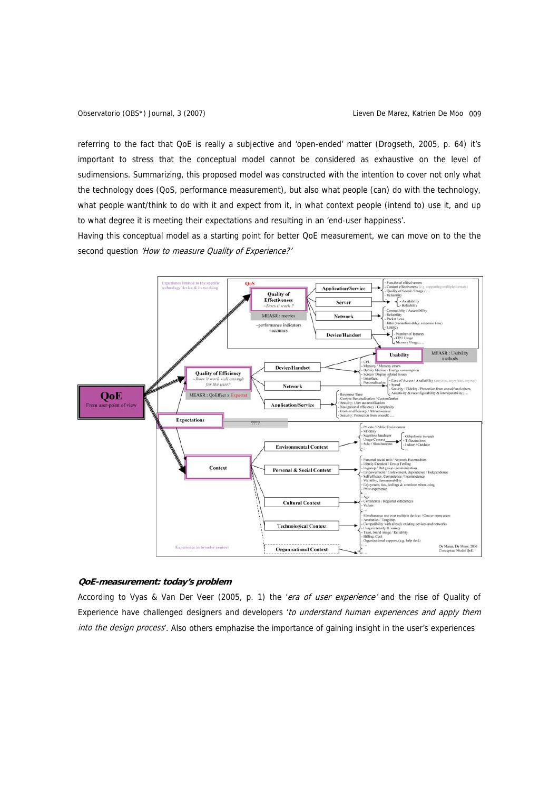referring to the fact that QoE is really a subjective and 'open-ended' matter (Drogseth, 2005, p. 64) it's important to stress that the conceptual model cannot be considered as exhaustive on the level of sudimensions. Summarizing, this proposed model was constructed with the intention to cover not only what the technology does (QoS, performance measurement), but also what people (can) do with the technology, what people want/think to do with it and expect from it, in what context people (intend to) use it, and up to what degree it is meeting their expectations and resulting in an 'end-user happiness'.

Having this conceptual model as a starting point for better QoE measurement, we can move on to the the second question 'How to measure Quality of Experience?'



# **QoE-measurement: today's problem**

According to Vyas & Van Der Veer (2005, p. 1) the 'era of user experience' and the rise of Quality of Experience have challenged designers and developers 'to understand human experiences and apply them into the design process'. Also others emphazise the importance of gaining insight in the user's experiences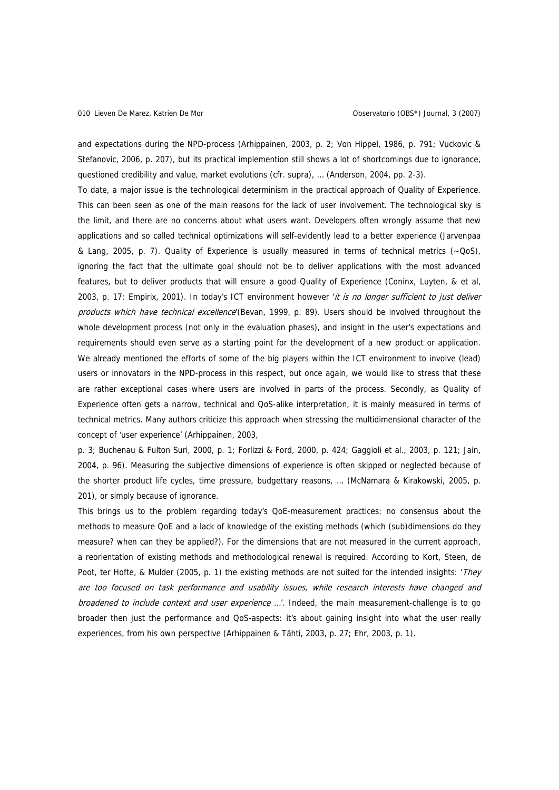and expectations during the NPD-process (Arhippainen, 2003, p. 2; Von Hippel, 1986, p. 791; Vuckovic & Stefanovic, 2006, p. 207), but its practical implemention still shows a lot of shortcomings due to ignorance, questioned credibility and value, market evolutions (cfr. supra), … (Anderson, 2004, pp. 2-3).

To date, a major issue is the technological determinism in the practical approach of Quality of Experience. This can been seen as one of the main reasons for the lack of user involvement. The technological sky is the limit, and there are no concerns about what users want. Developers often wrongly assume that new applications and so called technical optimizations will self-evidently lead to a better experience (Jarvenpaa & Lang, 2005, p. 7). Quality of Experience is usually measured in terms of technical metrics (~QoS), ignoring the fact that the ultimate goal should not be to deliver applications with the most advanced features, but to deliver products that will ensure a good Quality of Experience (Coninx, Luyten, & et al, 2003, p. 17; Empirix, 2001). In today's ICT environment however 'it is no longer sufficient to just deliver products which have technical excellence (Bevan, 1999, p. 89). Users should be involved throughout the whole development process (not only in the evaluation phases), and insight in the user's expectations and requirements should even serve as a starting point for the development of a new product or application. We already mentioned the efforts of some of the big players within the ICT environment to involve (lead) users or innovators in the NPD-process in this respect, but once again, we would like to stress that these are rather exceptional cases where users are involved in parts of the process. Secondly, as Quality of Experience often gets a narrow, technical and QoS-alike interpretation, it is mainly measured in terms of technical metrics. Many authors criticize this approach when stressing the multidimensional character of the concept of 'user experience' (Arhippainen, 2003,

p. 3; Buchenau & Fulton Suri, 2000, p. 1; Forlizzi & Ford, 2000, p. 424; Gaggioli et al., 2003, p. 121; Jain, 2004, p. 96). Measuring the subjective dimensions of experience is often skipped or neglected because of the shorter product life cycles, time pressure, budgettary reasons, … (McNamara & Kirakowski, 2005, p. 201), or simply because of ignorance.

This brings us to the problem regarding today's QoE-measurement practices: no consensus about the methods to measure QoE and a lack of knowledge of the existing methods (which (sub)dimensions do they measure? when can they be applied?). For the dimensions that are not measured in the current approach, a reorientation of existing methods and methodological renewal is required. According to Kort, Steen, de Poot, ter Hofte, & Mulder (2005, p. 1) the existing methods are not suited for the intended insights: 'They are too focused on task performance and usability issues, while research interests have changed and broadened to include context and user experience ...'. Indeed, the main measurement-challenge is to go broader then just the performance and QoS-aspects: it's about gaining insight into what the user really experiences, from his own perspective (Arhippainen & Tähti, 2003, p. 27; Ehr, 2003, p. 1).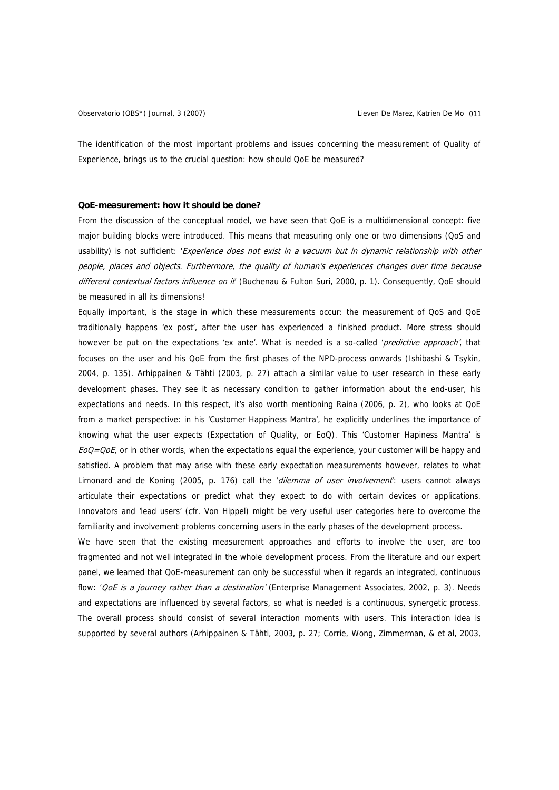The identification of the most important problems and issues concerning the measurement of Quality of Experience, brings us to the crucial question: how should QoE be measured?

#### **QoE-measurement: how it should be done?**

From the discussion of the conceptual model, we have seen that QoE is a multidimensional concept: five major building blocks were introduced. This means that measuring only one or two dimensions (QoS and usability) is not sufficient: 'Experience does not exist in a vacuum but in dynamic relationship with other people, places and objects. Furthermore, the quality of human's experiences changes over time because different contextual factors influence on it (Buchenau & Fulton Suri, 2000, p. 1). Consequently, QoE should be measured in all its dimensions!

Equally important, is the stage in which these measurements occur: the measurement of QoS and QoE traditionally happens 'ex post', after the user has experienced a finished product. More stress should however be put on the expectations 'ex ante'. What is needed is a so-called 'predictive approach', that focuses on the user and his QoE from the first phases of the NPD-process onwards (Ishibashi & Tsykin, 2004, p. 135). Arhippainen & Tähti (2003, p. 27) attach a similar value to user research in these early development phases. They see it as necessary condition to gather information about the end-user, his expectations and needs. In this respect, it's also worth mentioning Raina (2006, p. 2), who looks at QoE from a market perspective: in his 'Customer Happiness Mantra', he explicitly underlines the importance of knowing what the user expects (Expectation of Quality, or EoQ). This 'Customer Hapiness Mantra' is  $E_0Q=Q_0E$ , or in other words, when the expectations equal the experience, your customer will be happy and satisfied. A problem that may arise with these early expectation measurements however, relates to what Limonard and de Koning (2005, p. 176) call the 'dilemma of user involvement: users cannot always articulate their expectations or predict what they expect to do with certain devices or applications. Innovators and 'lead users' (cfr. Von Hippel) might be very useful user categories here to overcome the familiarity and involvement problems concerning users in the early phases of the development process.

We have seen that the existing measurement approaches and efforts to involve the user, are too fragmented and not well integrated in the whole development process. From the literature and our expert panel, we learned that QoE-measurement can only be successful when it regards an integrated, continuous flow: 'CoE is a journey rather than a destination' (Enterprise Management Associates, 2002, p. 3). Needs and expectations are influenced by several factors, so what is needed is a continuous, synergetic process. The overall process should consist of several interaction moments with users. This interaction idea is supported by several authors (Arhippainen & Tähti, 2003, p. 27; Corrie, Wong, Zimmerman, & et al, 2003,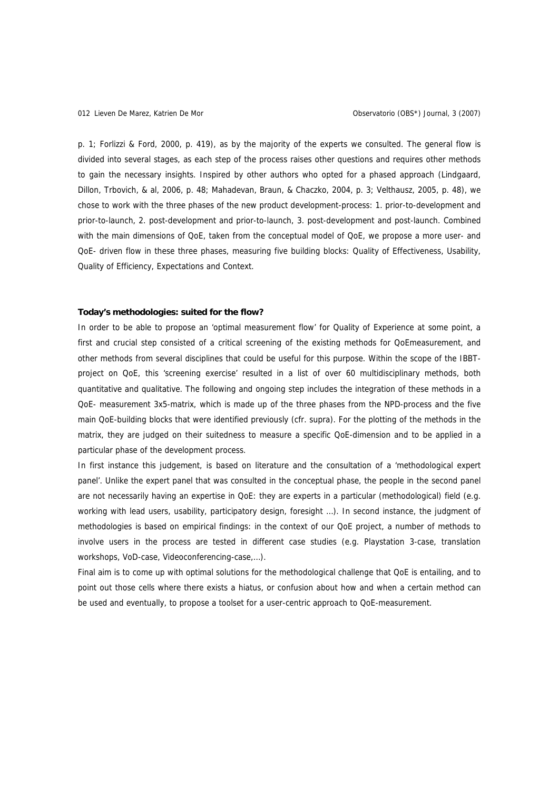p. 1; Forlizzi & Ford, 2000, p. 419), as by the majority of the experts we consulted. The general flow is divided into several stages, as each step of the process raises other questions and requires other methods to gain the necessary insights. Inspired by other authors who opted for a phased approach (Lindgaard, Dillon, Trbovich, & al, 2006, p. 48; Mahadevan, Braun, & Chaczko, 2004, p. 3; Velthausz, 2005, p. 48), we chose to work with the three phases of the new product development-process: 1. prior-to-development and prior-to-launch, 2. post-development and prior-to-launch, 3. post-development and post-launch. Combined with the main dimensions of QoE, taken from the conceptual model of QoE, we propose a more user- and QoE- driven flow in these three phases, measuring five building blocks: Quality of Effectiveness, Usability, Quality of Efficiency, Expectations and Context.

#### **Today's methodologies: suited for the flow?**

In order to be able to propose an 'optimal measurement flow' for Quality of Experience at some point, a first and crucial step consisted of a critical screening of the existing methods for QoEmeasurement, and other methods from several disciplines that could be useful for this purpose. Within the scope of the IBBTproject on QoE, this 'screening exercise' resulted in a list of over 60 multidisciplinary methods, both quantitative and qualitative. The following and ongoing step includes the integration of these methods in a QoE- measurement 3x5-matrix, which is made up of the three phases from the NPD-process and the five main QoE-building blocks that were identified previously (cfr. supra). For the plotting of the methods in the matrix, they are judged on their suitedness to measure a specific QoE-dimension and to be applied in a particular phase of the development process.

In first instance this judgement, is based on literature and the consultation of a 'methodological expert panel'. Unlike the expert panel that was consulted in the conceptual phase, the people in the second panel are not necessarily having an expertise in QoE: they are experts in a particular (methodological) field (e.g. working with lead users, usability, participatory design, foresight …). In second instance, the judgment of methodologies is based on empirical findings: in the context of our QoE project, a number of methods to involve users in the process are tested in different case studies (e.g. Playstation 3-case, translation workshops, VoD-case, Videoconferencing-case,…).

Final aim is to come up with optimal solutions for the methodological challenge that QoE is entailing, and to point out those cells where there exists a hiatus, or confusion about how and when a certain method can be used and eventually, to propose a toolset for a user-centric approach to QoE-measurement.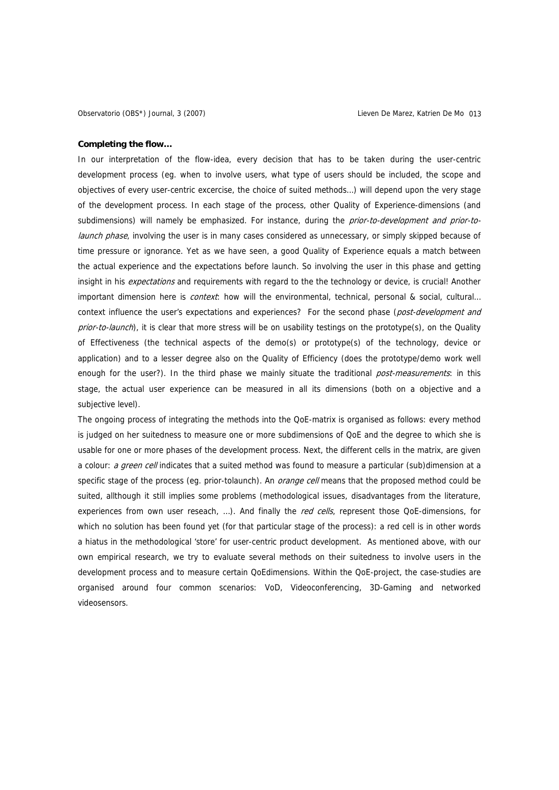#### **Completing the flow…**

In our interpretation of the flow-idea, every decision that has to be taken during the user-centric development process (eg. when to involve users, what type of users should be included, the scope and objectives of every user-centric excercise, the choice of suited methods…) will depend upon the very stage of the development process. In each stage of the process, other Quality of Experience-dimensions (and subdimensions) will namely be emphasized. For instance, during the prior-to-development and prior-tolaunch phase, involving the user is in many cases considered as unnecessary, or simply skipped because of time pressure or ignorance. Yet as we have seen, a good Quality of Experience equals a match between the actual experience and the expectations before launch. So involving the user in this phase and getting insight in his expectations and requirements with regard to the the technology or device, is crucial! Another important dimension here is *context*: how will the environmental, technical, personal & social, cultural... context influence the user's expectations and experiences? For the second phase (post-development and prior-to-launch), it is clear that more stress will be on usability testings on the prototype(s), on the Quality of Effectiveness (the technical aspects of the demo(s) or prototype(s) of the technology, device or application) and to a lesser degree also on the Quality of Efficiency (does the prototype/demo work well enough for the user?). In the third phase we mainly situate the traditional post-measurements: in this stage, the actual user experience can be measured in all its dimensions (both on a objective and a subjective level).

The ongoing process of integrating the methods into the QoE-matrix is organised as follows: every method is judged on her suitedness to measure one or more subdimensions of QoE and the degree to which she is usable for one or more phases of the development process. Next, the different cells in the matrix, are given a colour: a green cell indicates that a suited method was found to measure a particular (sub)dimension at a specific stage of the process (eg. prior-tolaunch). An *orange cell* means that the proposed method could be suited, allthough it still implies some problems (methodological issues, disadvantages from the literature, experiences from own user reseach, ...). And finally the red cells, represent those QoE-dimensions, for which no solution has been found yet (for that particular stage of the process): a red cell is in other words a hiatus in the methodological 'store' for user-centric product development. As mentioned above, with our own empirical research, we try to evaluate several methods on their suitedness to involve users in the development process and to measure certain QoEdimensions. Within the QoE-project, the case-studies are organised around four common scenarios: VoD, Videoconferencing, 3D-Gaming and networked videosensors.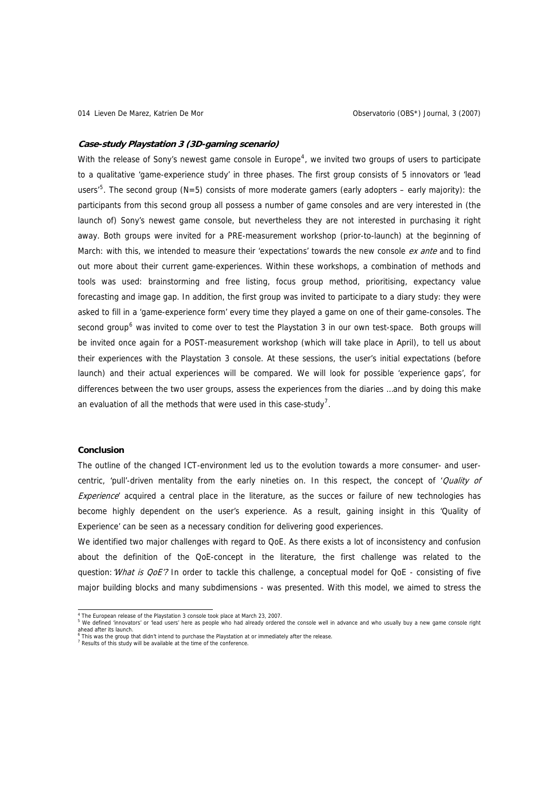#### <span id="page-13-0"></span>**Case-study Playstation 3 (3D-gaming scenario)**

With the release of Sony's newest game console in Europe<sup>[4](#page-13-0)</sup>, we invited two groups of users to participate to a qualitative 'game-experience study' in three phases. The first group consists of 5 innovators or 'lead users<sup>,[5](#page-13-0)</sup>. The second group (N=5) consists of more moderate gamers (early adopters – early majority): the participants from this second group all possess a number of game consoles and are very interested in (the launch of) Sony's newest game console, but nevertheless they are not interested in purchasing it right away. Both groups were invited for a PRE-measurement workshop (prior-to-launch) at the beginning of March: with this, we intended to measure their 'expectations' towards the new console ex ante and to find out more about their current game-experiences. Within these workshops, a combination of methods and tools was used: brainstorming and free listing, focus group method, prioritising, expectancy value forecasting and image gap. In addition, the first group was invited to participate to a diary study: they were asked to fill in a 'game-experience form' every time they played a game on one of their game-consoles. The second group<sup>[6](#page-13-0)</sup> was invited to come over to test the Playstation 3 in our own test-space. Both groups will be invited once again for a POST-measurement workshop (which will take place in April), to tell us about their experiences with the Playstation 3 console. At these sessions, the user's initial expectations (before launch) and their actual experiences will be compared. We will look for possible 'experience gaps', for differences between the two user groups, assess the experiences from the diaries …and by doing this make an evaluation of all the methods that were used in this case-study<sup>[7](#page-13-0)</sup>.

#### **Conclusion**

The outline of the changed ICT-environment led us to the evolution towards a more consumer- and usercentric, 'pull'-driven mentality from the early nineties on. In this respect, the concept of 'Quality of Experience' acquired a central place in the literature, as the succes or failure of new technologies has become highly dependent on the user's experience. As a result, gaining insight in this 'Quality of Experience' can be seen as a necessary condition for delivering good experiences.

We identified two major challenges with regard to QoE. As there exists a lot of inconsistency and confusion about the definition of the QoE-concept in the literature, the first challenge was related to the question: What is QoE'? In order to tackle this challenge, a conceptual model for QoE - consisting of five major building blocks and many subdimensions - was presented. With this model, we aimed to stress the

 4 The European release of the Playstation 3 console took place at March 23, 2007.

<sup>&</sup>lt;sup>5</sup> We defined 'innovators' or 'lead users' here as people who had already ordered the console well in advance and who usually buy a new game console right ahead after its launch.<br><sup>6</sup> This was the group that didn't intend to purchase the Playstation at or immediately after the release.<br><sup>7</sup> Results of this study will be available at the time of the conference.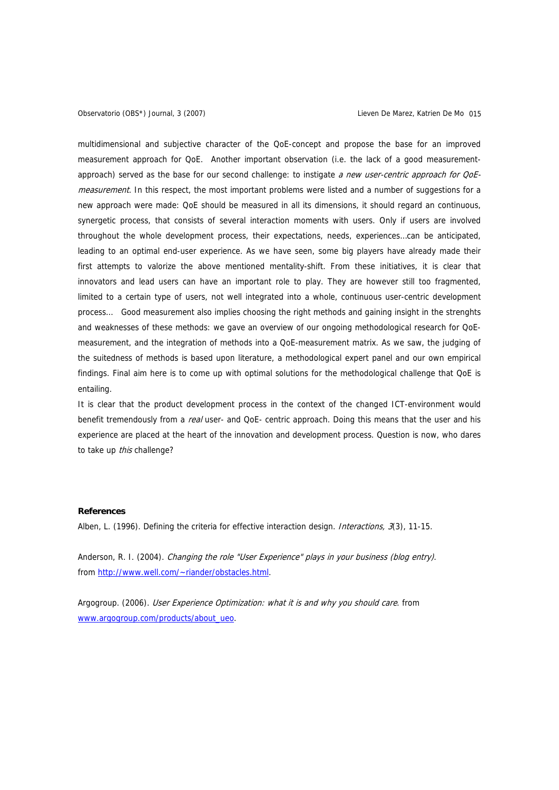multidimensional and subjective character of the QoE-concept and propose the base for an improved measurement approach for QoE. Another important observation (i.e. the lack of a good measurementapproach) served as the base for our second challenge: to instigate a new user-centric approach for OoEmeasurement. In this respect, the most important problems were listed and a number of suggestions for a new approach were made: QoE should be measured in all its dimensions, it should regard an continuous, synergetic process, that consists of several interaction moments with users. Only if users are involved throughout the whole development process, their expectations, needs, experiences…can be anticipated, leading to an optimal end-user experience. As we have seen, some big players have already made their first attempts to valorize the above mentioned mentality-shift. From these initiatives, it is clear that innovators and lead users can have an important role to play. They are however still too fragmented, limited to a certain type of users, not well integrated into a whole, continuous user-centric development process… Good measurement also implies choosing the right methods and gaining insight in the strenghts and weaknesses of these methods: we gave an overview of our ongoing methodological research for QoEmeasurement, and the integration of methods into a QoE-measurement matrix. As we saw, the judging of the suitedness of methods is based upon literature, a methodological expert panel and our own empirical findings. Final aim here is to come up with optimal solutions for the methodological challenge that QoE is entailing.

It is clear that the product development process in the context of the changed ICT-environment would benefit tremendously from a real user- and QoE- centric approach. Doing this means that the user and his experience are placed at the heart of the innovation and development process. Question is now, who dares to take up this challenge?

# **References**

Alben, L. (1996). Defining the criteria for effective interaction design. Interactions, 3(3), 11-15.

Anderson, R. I. (2004). Changing the role "User Experience" plays in your business (blog entry). from [http://www.well.com/~riander/obstacles.html](http://www.well.com/%7Eriander/obstacles.html).

Argogroup. (2006). User Experience Optimization: what it is and why you should care. from www.argogroup.com/products/about\_ueo.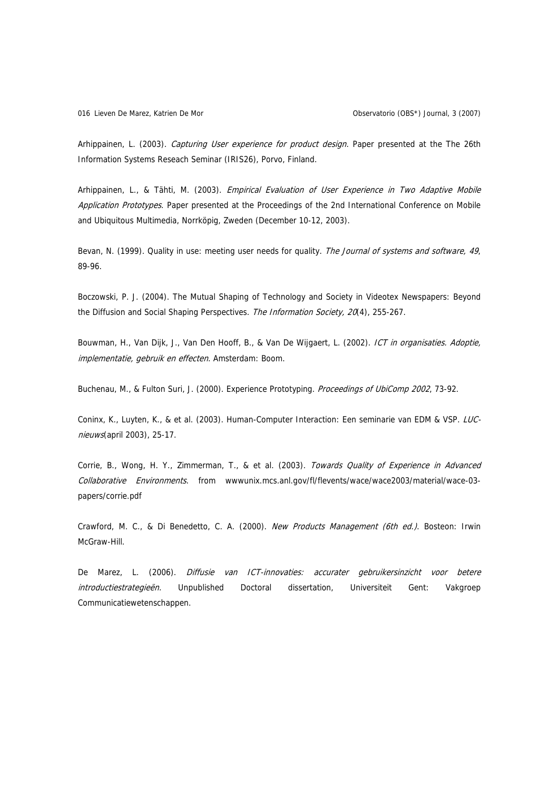Arhippainen, L. (2003). Capturing User experience for product design. Paper presented at the The 26th Information Systems Reseach Seminar (IRIS26), Porvo, Finland.

Arhippainen, L., & Tähti, M. (2003). Empirical Evaluation of User Experience in Two Adaptive Mobile Application Prototypes. Paper presented at the Proceedings of the 2nd International Conference on Mobile and Ubiquitous Multimedia, Norrköpig, Zweden (December 10-12, 2003).

Bevan, N. (1999). Quality in use: meeting user needs for quality. The Journal of systems and software, 49, 89-96.

Boczowski, P. J. (2004). The Mutual Shaping of Technology and Society in Videotex Newspapers: Beyond the Diffusion and Social Shaping Perspectives. The Information Society, 20(4), 255-267.

Bouwman, H., Van Dijk, J., Van Den Hooff, B., & Van De Wijgaert, L. (2002). ICT in organisaties. Adoptie, implementatie, gebruik en effecten. Amsterdam: Boom.

Buchenau, M., & Fulton Suri, J. (2000). Experience Prototyping. Proceedings of UbiComp 2002, 73-92.

Coninx, K., Luyten, K., & et al. (2003). Human-Computer Interaction: Een seminarie van EDM & VSP. LUCnieuws(april 2003), 25-17.

Corrie, B., Wong, H. Y., Zimmerman, T., & et al. (2003). Towards Quality of Experience in Advanced Collaborative Environments. from wwwunix.mcs.anl.gov/fl/flevents/wace/wace2003/material/wace-03 papers/corrie.pdf

Crawford, M. C., & Di Benedetto, C. A. (2000). New Products Management (6th ed.). Bosteon: Irwin McGraw-Hill.

De Marez, L. (2006). Diffusie van ICT-innovaties: accurater gebruikersinzicht voor betere introductiestrategieën. Unpublished Doctoral dissertation, Universiteit Gent: Vakgroep Communicatiewetenschappen.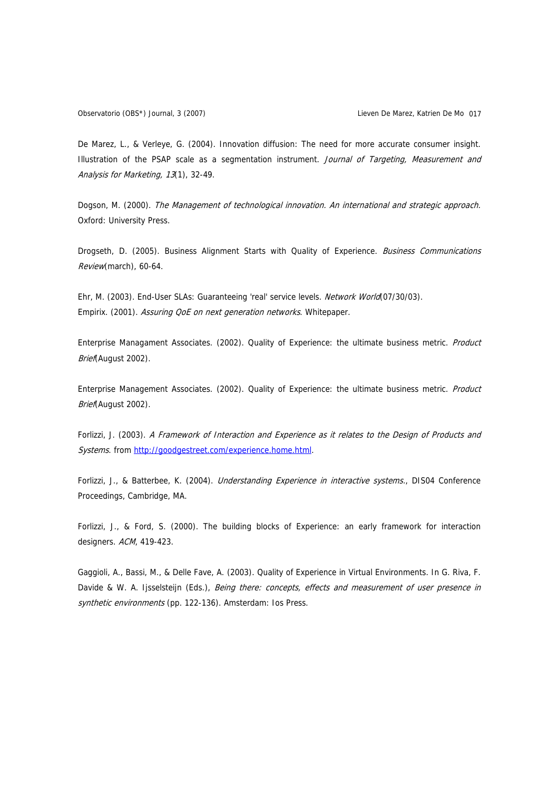De Marez, L., & Verleye, G. (2004). Innovation diffusion: The need for more accurate consumer insight. Illustration of the PSAP scale as a segmentation instrument. Journal of Targeting, Measurement and Analysis for Marketing, 13(1), 32-49.

Dogson, M. (2000). The Management of technological innovation. An international and strategic approach. Oxford: University Press.

Drogseth, D. (2005). Business Alignment Starts with Quality of Experience. Business Communications Review(march), 60-64.

Ehr, M. (2003). End-User SLAs: Guaranteeing 'real' service levels. Network World(07/30/03). Empirix. (2001). Assuring QoE on next generation networks. Whitepaper.

Enterprise Managament Associates. (2002). Quality of Experience: the ultimate business metric. Product Brief(August 2002).

Enterprise Management Associates. (2002). Quality of Experience: the ultimate business metric. Product Brief(August 2002).

Forlizzi, J. (2003). A Framework of Interaction and Experience as it relates to the Design of Products and Systems. from [http://goodgestreet.com/experience.home.html.](http://goodgestreet.com/experience.home.html)

Forlizzi, J., & Batterbee, K. (2004). *Understanding Experience in interactive systems.*, DIS04 Conference Proceedings, Cambridge, MA.

Forlizzi, J., & Ford, S. (2000). The building blocks of Experience: an early framework for interaction designers. ACM, 419-423.

Gaggioli, A., Bassi, M., & Delle Fave, A. (2003). Quality of Experience in Virtual Environments. In G. Riva, F. Davide & W. A. Ijsselsteijn (Eds.), Being there: concepts, effects and measurement of user presence in synthetic environments (pp. 122-136). Amsterdam: Ios Press.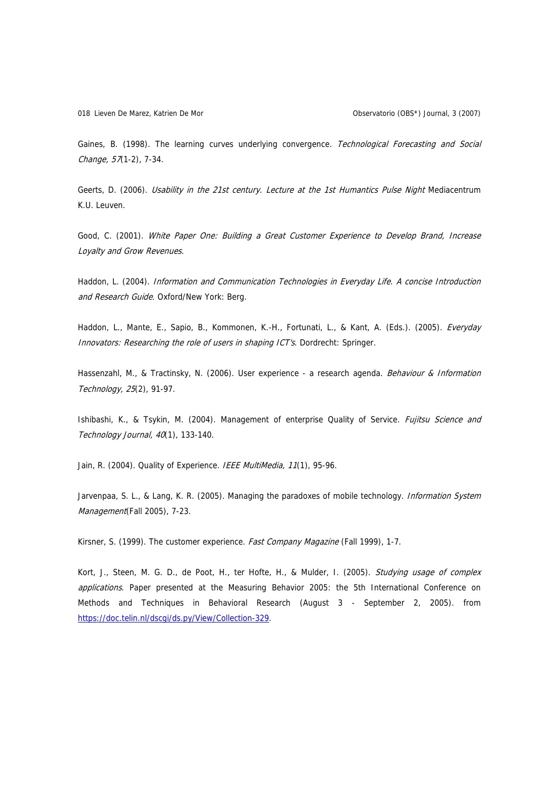Gaines, B. (1998). The learning curves underlying convergence. Technological Forecasting and Social Change, 57(1-2), 7-34.

Geerts, D. (2006). Usability in the 21st century. Lecture at the 1st Humantics Pulse Night Mediacentrum K.U. Leuven.

Good, C. (2001). White Paper One: Building a Great Customer Experience to Develop Brand, Increase Loyalty and Grow Revenues.

Haddon, L. (2004). Information and Communication Technologies in Everyday Life. A concise Introduction and Research Guide. Oxford/New York: Berg.

Haddon, L., Mante, E., Sapio, B., Kommonen, K.-H., Fortunati, L., & Kant, A. (Eds.). (2005). Everyday Innovators: Researching the role of users in shaping ICT's. Dordrecht: Springer.

Hassenzahl, M., & Tractinsky, N. (2006). User experience - a research agenda. Behaviour & Information Technology, 25(2), 91-97.

Ishibashi, K., & Tsykin, M. (2004). Management of enterprise Quality of Service. Fujitsu Science and Technology Journal, 40(1), 133-140.

Jain, R. (2004). Quality of Experience. IEEE MultiMedia, 11(1), 95-96.

Jarvenpaa, S. L., & Lang, K. R. (2005). Managing the paradoxes of mobile technology. *Information System* Management(Fall 2005), 7-23.

Kirsner, S. (1999). The customer experience. Fast Company Magazine (Fall 1999), 1-7.

Kort, J., Steen, M. G. D., de Poot, H., ter Hofte, H., & Mulder, I. (2005). Studying usage of complex applications. Paper presented at the Measuring Behavior 2005: the 5th International Conference on Methods and Techniques in Behavioral Research (August 3 - September 2, 2005). from [https://doc.telin.nl/dscgi/ds.py/View/Collection-329.](https://doc.telin.nl/dscgi/ds.py/View/Collection-329)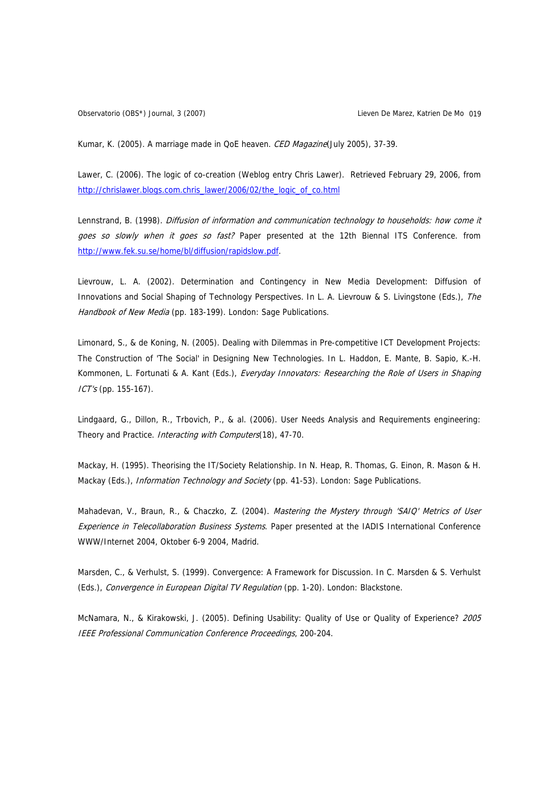Kumar, K. (2005). A marriage made in QoE heaven. CED Magazine(July 2005), 37-39.

Lawer, C. (2006). The logic of co-creation (Weblog entry Chris Lawer). Retrieved February 29, 2006, from [http://chrislawer.blogs.com.chris\\_lawer/2006/02/the\\_logic\\_of\\_co.html](http://chrislawer.blogs.com.chris_lawer/2006/02/the_logic_of_co.html)

Lennstrand, B. (1998). Diffusion of information and communication technology to households: how come it goes so slowly when it goes so fast? Paper presented at the 12th Biennal ITS Conference. from [http://www.fek.su.se/home/bl/diffusion/rapidslow.pdf.](http://www.fek.su.se/home/bl/diffusion/rapidslow.pdf)

Lievrouw, L. A. (2002). Determination and Contingency in New Media Development: Diffusion of Innovations and Social Shaping of Technology Perspectives. In L. A. Lievrouw & S. Livingstone (Eds.), The Handbook of New Media (pp. 183-199). London: Sage Publications.

Limonard, S., & de Koning, N. (2005). Dealing with Dilemmas in Pre-competitive ICT Development Projects: The Construction of 'The Social' in Designing New Technologies. In L. Haddon, E. Mante, B. Sapio, K.-H. Kommonen, L. Fortunati & A. Kant (Eds.), Everyday Innovators: Researching the Role of Users in Shaping ICT's (pp. 155-167).

Lindgaard, G., Dillon, R., Trbovich, P., & al. (2006). User Needs Analysis and Requirements engineering: Theory and Practice. Interacting with Computers(18), 47-70.

Mackay, H. (1995). Theorising the IT/Society Relationship. In N. Heap, R. Thomas, G. Einon, R. Mason & H. Mackay (Eds.), Information Technology and Society (pp. 41-53). London: Sage Publications.

Mahadevan, V., Braun, R., & Chaczko, Z. (2004). Mastering the Mystery through 'SAIQ' Metrics of User Experience in Telecollaboration Business Systems. Paper presented at the IADIS International Conference WWW/Internet 2004, Oktober 6-9 2004, Madrid.

Marsden, C., & Verhulst, S. (1999). Convergence: A Framework for Discussion. In C. Marsden & S. Verhulst (Eds.), Convergence in European Digital TV Regulation (pp. 1-20). London: Blackstone.

McNamara, N., & Kirakowski, J. (2005). Defining Usability: Quality of Use or Quality of Experience? 2005 IEEE Professional Communication Conference Proceedings, 200-204.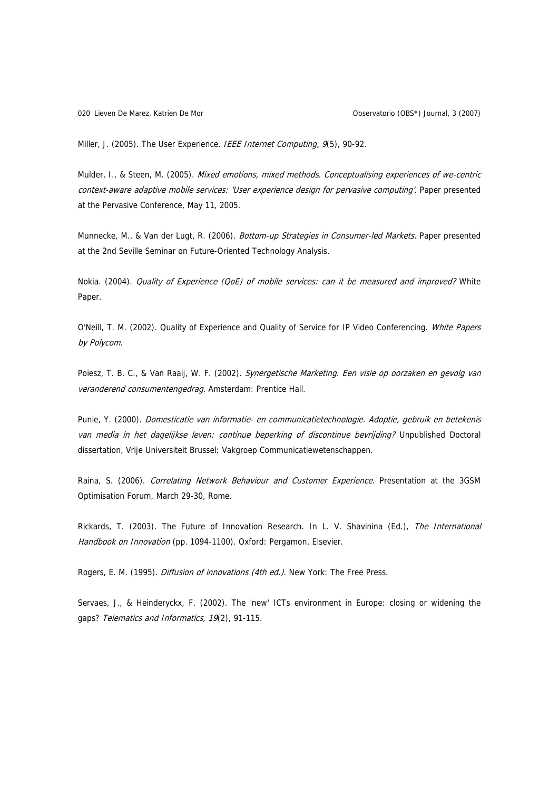Lieven De Marez, Katrien De Mor 020 Observatorio (OBS\*) Journal, 3 (2007)

Miller, J. (2005). The User Experience. IEEE Internet Computing, 9(5), 90-92.

Mulder, I., & Steen, M. (2005). Mixed emotions, mixed methods. Conceptualising experiences of we-centric context-aware adaptive mobile services: 'User experience design for pervasive computing'. Paper presented at the Pervasive Conference, May 11, 2005.

Munnecke, M., & Van der Lugt, R. (2006). Bottom-up Strategies in Consumer-led Markets. Paper presented at the 2nd Seville Seminar on Future-Oriented Technology Analysis.

Nokia. (2004). Quality of Experience (QoE) of mobile services: can it be measured and improved? White Paper.

O'Neill, T. M. (2002). Quality of Experience and Quality of Service for IP Video Conferencing. White Papers by Polycom.

Poiesz, T. B. C., & Van Raaij, W. F. (2002). Synergetische Marketing. Een visie op oorzaken en gevolg van veranderend consumentengedrag. Amsterdam: Prentice Hall.

Punie, Y. (2000). Domesticatie van informatie- en communicatietechnologie. Adoptie, gebruik en betekenis van media in het dagelijkse leven: continue beperking of discontinue bevrijding? Unpublished Doctoral dissertation, Vrije Universiteit Brussel: Vakgroep Communicatiewetenschappen.

Raina, S. (2006). Correlating Network Behaviour and Customer Experience. Presentation at the 3GSM Optimisation Forum, March 29-30, Rome.

Rickards, T. (2003). The Future of Innovation Research. In L. V. Shavinina (Ed.), The International Handbook on Innovation (pp. 1094-1100). Oxford: Pergamon, Elsevier.

Rogers, E. M. (1995). Diffusion of innovations (4th ed.). New York: The Free Press.

Servaes, J., & Heinderyckx, F. (2002). The 'new' ICTs environment in Europe: closing or widening the gaps? Telematics and Informatics, 19(2), 91-115.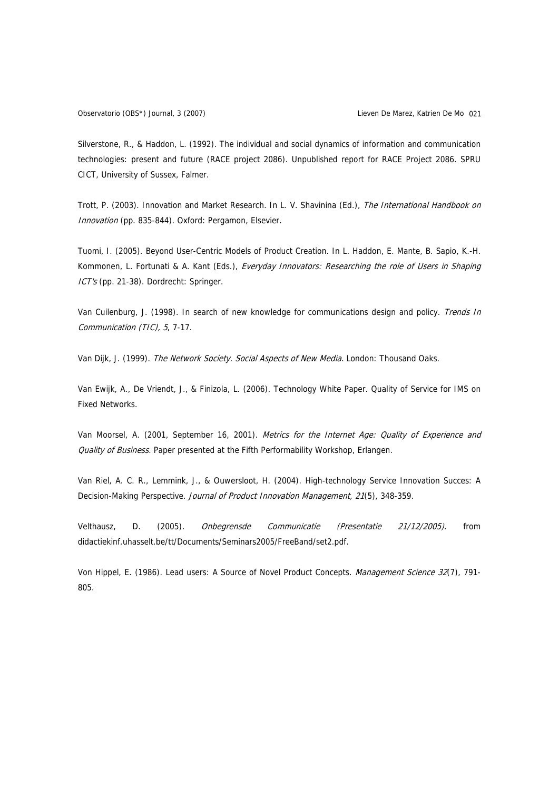Silverstone, R., & Haddon, L. (1992). The individual and social dynamics of information and communication technologies: present and future (RACE project 2086). Unpublished report for RACE Project 2086. SPRU CICT, University of Sussex, Falmer.

Trott, P. (2003). Innovation and Market Research. In L. V. Shavinina (Ed.), The International Handbook on Innovation (pp. 835-844). Oxford: Pergamon, Elsevier.

Tuomi, I. (2005). Beyond User-Centric Models of Product Creation. In L. Haddon, E. Mante, B. Sapio, K.-H. Kommonen, L. Fortunati & A. Kant (Eds.), Everyday Innovators: Researching the role of Users in Shaping ICT's (pp. 21-38). Dordrecht: Springer.

Van Cuilenburg, J. (1998). In search of new knowledge for communications design and policy. Trends In Communication (TIC), 5, 7-17.

Van Dijk, J. (1999). The Network Society. Social Aspects of New Media. London: Thousand Oaks.

Van Ewijk, A., De Vriendt, J., & Finizola, L. (2006). Technology White Paper. Quality of Service for IMS on Fixed Networks.

Van Moorsel, A. (2001, September 16, 2001). Metrics for the Internet Age: Quality of Experience and Quality of Business. Paper presented at the Fifth Performability Workshop, Erlangen.

Van Riel, A. C. R., Lemmink, J., & Ouwersloot, H. (2004). High-technology Service Innovation Succes: A Decision-Making Perspective. Journal of Product Innovation Management, 21(5), 348-359.

Velthausz, D. (2005). Onbegrensde Communicatie (Presentatie 21/12/2005). from didactiekinf.uhasselt.be/tt/Documents/Seminars2005/FreeBand/set2.pdf.

Von Hippel, E. (1986). Lead users: A Source of Novel Product Concepts. Management Science 32(7), 791-805.